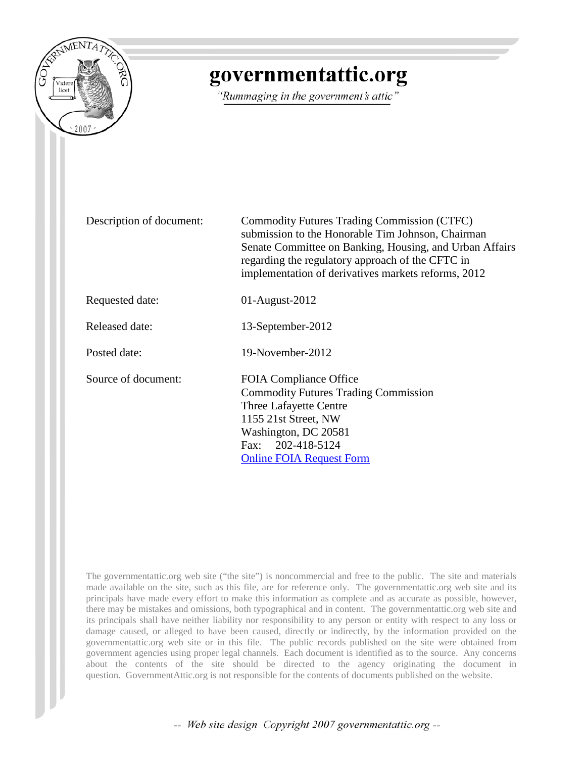

# governmentattic.org

"Rummaging in the government's attic"

| Description of document: | <b>Commodity Futures Trading Commission (CTFC)</b><br>submission to the Honorable Tim Johnson, Chairman<br>Senate Committee on Banking, Housing, and Urban Affairs<br>regarding the regulatory approach of the CFTC in<br>implementation of derivatives markets reforms, 2012 |
|--------------------------|-------------------------------------------------------------------------------------------------------------------------------------------------------------------------------------------------------------------------------------------------------------------------------|
| Requested date:          | $01$ -August-2012                                                                                                                                                                                                                                                             |
| Released date:           | 13-September-2012                                                                                                                                                                                                                                                             |
| Posted date:             | 19-November-2012                                                                                                                                                                                                                                                              |
| Source of document:      | <b>FOIA Compliance Office</b><br><b>Commodity Futures Trading Commission</b><br>Three Lafayette Centre<br>1155 21st Street, NW<br>Washington, DC 20581<br>202-418-5124<br>Fax:<br><b>Online FOIA Request Form</b>                                                             |

The governmentattic.org web site ("the site") is noncommercial and free to the public. The site and materials made available on the site, such as this file, are for reference only. The governmentattic.org web site and its principals have made every effort to make this information as complete and as accurate as possible, however, there may be mistakes and omissions, both typographical and in content. The governmentattic.org web site and its principals shall have neither liability nor responsibility to any person or entity with respect to any loss or damage caused, or alleged to have been caused, directly or indirectly, by the information provided on the governmentattic.org web site or in this file. The public records published on the site were obtained from government agencies using proper legal channels. Each document is identified as to the source. Any concerns about the contents of the site should be directed to the agency originating the document in question. GovernmentAttic.org is not responsible for the contents of documents published on the website.

-- Web site design Copyright 2007 governmentattic.org --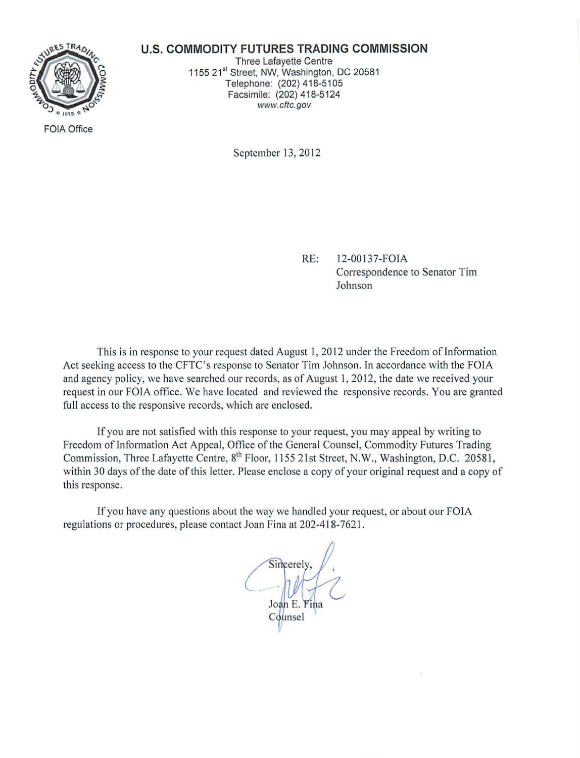

#### **U.S. COMMODITY FUTURES TRADING COMMISSION**

Three Lafayette Centre 1155 21<sup>st</sup> Street, NW, Washington, DC 20581 Telephone: (202) 418-5105 Facsimile: (202) 418-5124 www.cftc.gov

FOIA Office

September 13, 2012

RE: 12-00137-FOIA Correspondence to Senator Tim Johnson

This is in response to your request dated August I, 2012 under the Freedom of Information Act seeking access to the CFTC's response to Senator Tim Johnson. In accordance with the FOIA and agency policy, we have searched our records, as of August 1, 2012, the date we received your request in our FOIA office. We have located and reviewed the responsive records. You are granted full access to the responsive records, which are enclosed.

If you are not satisfied with this response to your request, you may appeal by writing to Freedom of Information Act Appeal, Office of the General Counsel, Commodity Futures Trading Commission, Three Lafayette Centre, 8<sup>th</sup> Floor, 1155 21st Street, N.W., Washington, D.C. 20581, within 30 days of the date of this letter. Please enclose a copy of your original request and a copy of this response.

If you have any questions about the way we handled your request, or about our FOIA regulations or procedures, please contact Joan Fina at 202-418-7621 .

Sincerely. Joan E. Fina Counsel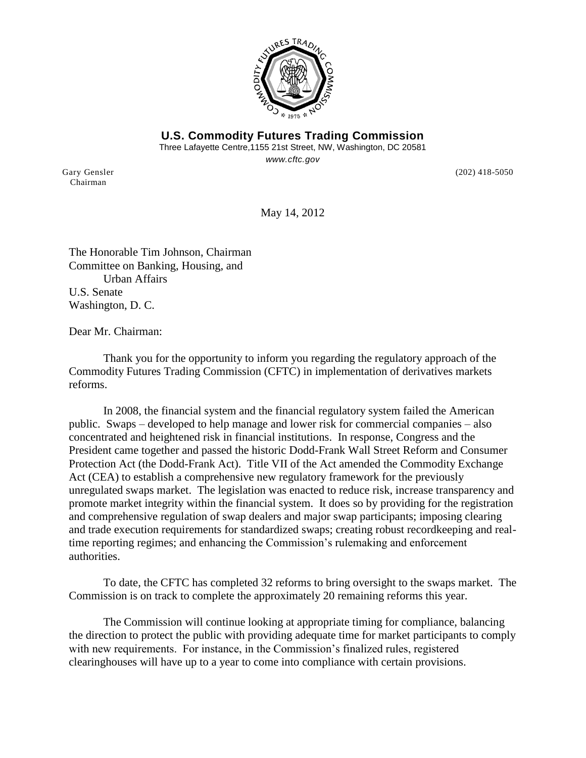

**U.S. Commodity Futures Trading Commission** Three Lafayette Centre,1155 21st Street, NW, Washington, DC 20581 *www.cftc.gov*

Chairman

Gary Gensler (202) 418-5050

May 14, 2012

The Honorable Tim Johnson, Chairman Committee on Banking, Housing, and Urban Affairs U.S. Senate Washington, D. C.

Dear Mr. Chairman:

Thank you for the opportunity to inform you regarding the regulatory approach of the Commodity Futures Trading Commission (CFTC) in implementation of derivatives markets reforms.

In 2008, the financial system and the financial regulatory system failed the American public. Swaps – developed to help manage and lower risk for commercial companies – also concentrated and heightened risk in financial institutions. In response, Congress and the President came together and passed the historic Dodd-Frank Wall Street Reform and Consumer Protection Act (the Dodd-Frank Act). Title VII of the Act amended the Commodity Exchange Act (CEA) to establish a comprehensive new regulatory framework for the previously unregulated swaps market. The legislation was enacted to reduce risk, increase transparency and promote market integrity within the financial system. It does so by providing for the registration and comprehensive regulation of swap dealers and major swap participants; imposing clearing and trade execution requirements for standardized swaps; creating robust recordkeeping and realtime reporting regimes; and enhancing the Commission's rulemaking and enforcement authorities.

To date, the CFTC has completed 32 reforms to bring oversight to the swaps market. The Commission is on track to complete the approximately 20 remaining reforms this year.

The Commission will continue looking at appropriate timing for compliance, balancing the direction to protect the public with providing adequate time for market participants to comply with new requirements. For instance, in the Commission's finalized rules, registered clearinghouses will have up to a year to come into compliance with certain provisions.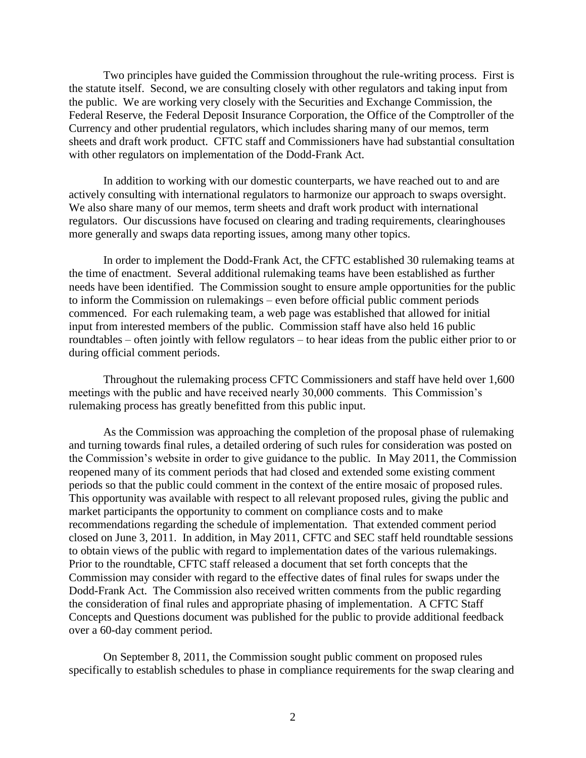Two principles have guided the Commission throughout the rule-writing process. First is the statute itself. Second, we are consulting closely with other regulators and taking input from the public. We are working very closely with the Securities and Exchange Commission, the Federal Reserve, the Federal Deposit Insurance Corporation, the Office of the Comptroller of the Currency and other prudential regulators, which includes sharing many of our memos, term sheets and draft work product. CFTC staff and Commissioners have had substantial consultation with other regulators on implementation of the Dodd-Frank Act.

In addition to working with our domestic counterparts, we have reached out to and are actively consulting with international regulators to harmonize our approach to swaps oversight. We also share many of our memos, term sheets and draft work product with international regulators. Our discussions have focused on clearing and trading requirements, clearinghouses more generally and swaps data reporting issues, among many other topics.

In order to implement the Dodd-Frank Act, the CFTC established 30 rulemaking teams at the time of enactment. Several additional rulemaking teams have been established as further needs have been identified. The Commission sought to ensure ample opportunities for the public to inform the Commission on rulemakings – even before official public comment periods commenced. For each rulemaking team, a web page was established that allowed for initial input from interested members of the public. Commission staff have also held 16 public roundtables – often jointly with fellow regulators – to hear ideas from the public either prior to or during official comment periods.

Throughout the rulemaking process CFTC Commissioners and staff have held over 1,600 meetings with the public and have received nearly 30,000 comments. This Commission's rulemaking process has greatly benefitted from this public input.

As the Commission was approaching the completion of the proposal phase of rulemaking and turning towards final rules, a detailed ordering of such rules for consideration was posted on the Commission's website in order to give guidance to the public. In May 2011, the Commission reopened many of its comment periods that had closed and extended some existing comment periods so that the public could comment in the context of the entire mosaic of proposed rules. This opportunity was available with respect to all relevant proposed rules, giving the public and market participants the opportunity to comment on compliance costs and to make recommendations regarding the schedule of implementation. That extended comment period closed on June 3, 2011. In addition, in May 2011, CFTC and SEC staff held roundtable sessions to obtain views of the public with regard to implementation dates of the various rulemakings. Prior to the roundtable, CFTC staff released a document that set forth concepts that the Commission may consider with regard to the effective dates of final rules for swaps under the Dodd-Frank Act. The Commission also received written comments from the public regarding the consideration of final rules and appropriate phasing of implementation. A CFTC Staff Concepts and Questions document was published for the public to provide additional feedback over a 60-day comment period.

On September 8, 2011, the Commission sought public comment on proposed rules specifically to establish schedules to phase in compliance requirements for the swap clearing and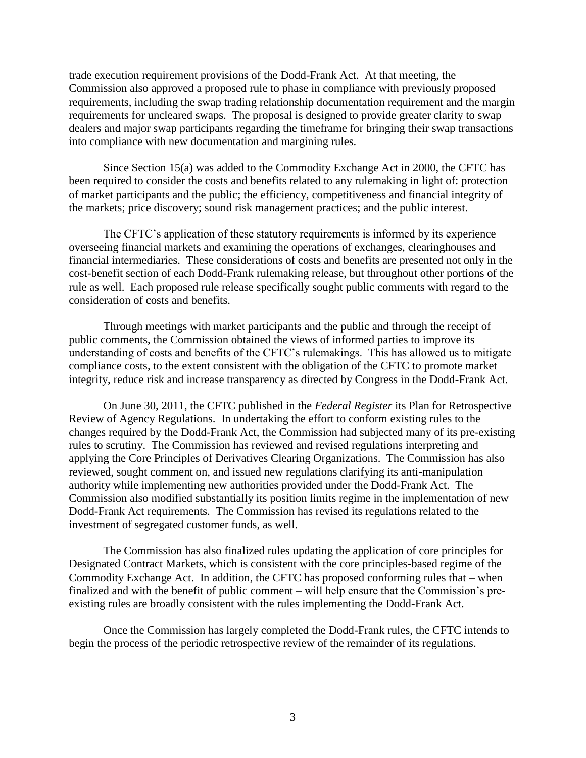trade execution requirement provisions of the Dodd-Frank Act. At that meeting, the Commission also approved a proposed rule to phase in compliance with previously proposed requirements, including the swap trading relationship documentation requirement and the margin requirements for uncleared swaps. The proposal is designed to provide greater clarity to swap dealers and major swap participants regarding the timeframe for bringing their swap transactions into compliance with new documentation and margining rules.

Since Section 15(a) was added to the Commodity Exchange Act in 2000, the CFTC has been required to consider the costs and benefits related to any rulemaking in light of: protection of market participants and the public; the efficiency, competitiveness and financial integrity of the markets; price discovery; sound risk management practices; and the public interest.

The CFTC's application of these statutory requirements is informed by its experience overseeing financial markets and examining the operations of exchanges, clearinghouses and financial intermediaries. These considerations of costs and benefits are presented not only in the cost-benefit section of each Dodd-Frank rulemaking release, but throughout other portions of the rule as well. Each proposed rule release specifically sought public comments with regard to the consideration of costs and benefits.

Through meetings with market participants and the public and through the receipt of public comments, the Commission obtained the views of informed parties to improve its understanding of costs and benefits of the CFTC's rulemakings. This has allowed us to mitigate compliance costs, to the extent consistent with the obligation of the CFTC to promote market integrity, reduce risk and increase transparency as directed by Congress in the Dodd-Frank Act.

On June 30, 2011, the CFTC published in the *Federal Register* its Plan for Retrospective Review of Agency Regulations. In undertaking the effort to conform existing rules to the changes required by the Dodd-Frank Act, the Commission had subjected many of its pre-existing rules to scrutiny. The Commission has reviewed and revised regulations interpreting and applying the Core Principles of Derivatives Clearing Organizations. The Commission has also reviewed, sought comment on, and issued new regulations clarifying its anti-manipulation authority while implementing new authorities provided under the Dodd-Frank Act. The Commission also modified substantially its position limits regime in the implementation of new Dodd-Frank Act requirements. The Commission has revised its regulations related to the investment of segregated customer funds, as well.

The Commission has also finalized rules updating the application of core principles for Designated Contract Markets, which is consistent with the core principles-based regime of the Commodity Exchange Act. In addition, the CFTC has proposed conforming rules that – when finalized and with the benefit of public comment – will help ensure that the Commission's preexisting rules are broadly consistent with the rules implementing the Dodd-Frank Act.

Once the Commission has largely completed the Dodd-Frank rules, the CFTC intends to begin the process of the periodic retrospective review of the remainder of its regulations.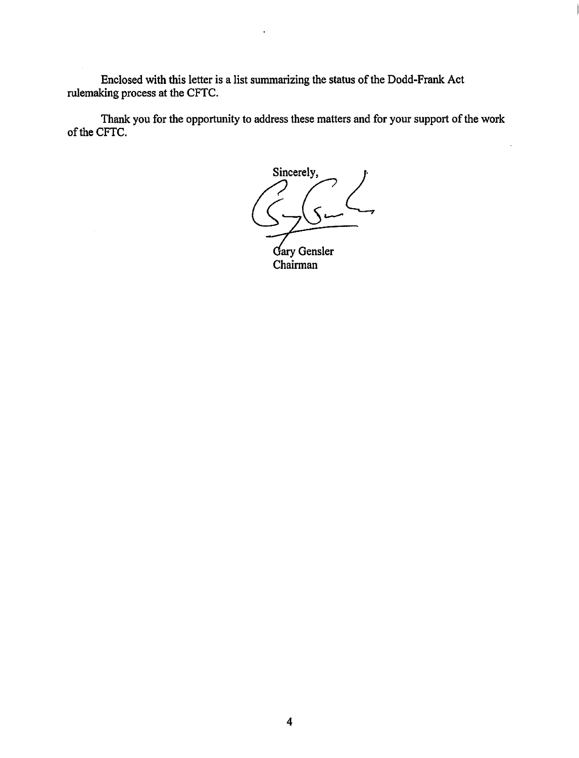Enclosed with this letter is a list summarizing the status of the Dodd-Frank Act rulemaking process at the CFTC.

Thank you for the opportunity to address these matters and for your support of the work of the CFTC.

Sincerely,<br>  $\left(\begin{array}{c} 0 \\ 0 \\ 0 \end{array}\right)$ 

Gary Gensler Chairman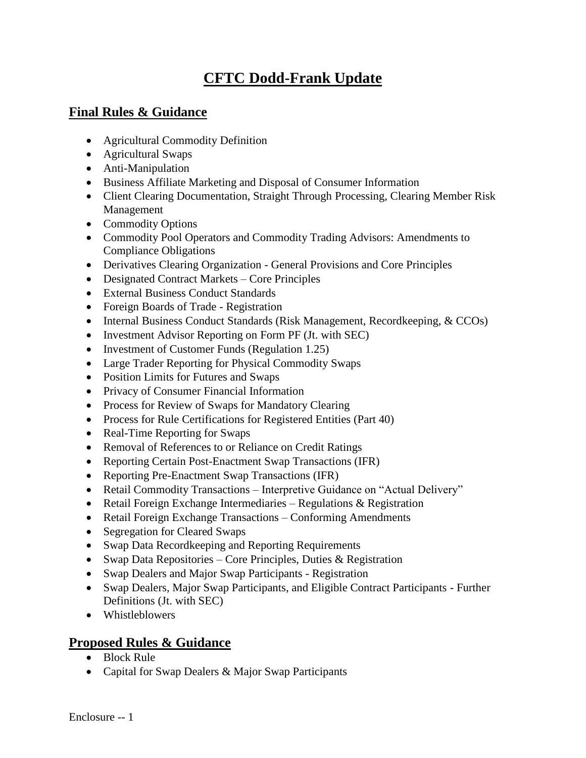## **CFTC Dodd-Frank Update**

### **Final Rules & Guidance**

- Agricultural Commodity Definition
- Agricultural Swaps
- Anti-Manipulation
- Business Affiliate Marketing and Disposal of Consumer Information
- Client Clearing Documentation, Straight Through Processing, Clearing Member Risk Management
- Commodity Options
- Commodity Pool Operators and Commodity Trading Advisors: Amendments to Compliance Obligations
- Derivatives Clearing Organization General Provisions and Core Principles
- Designated Contract Markets Core Principles
- External Business Conduct Standards
- Foreign Boards of Trade Registration
- Internal Business Conduct Standards (Risk Management, Recordkeeping, & CCOs)
- Investment Advisor Reporting on Form PF (Jt. with SEC)
- Investment of Customer Funds (Regulation 1.25)
- Large Trader Reporting for Physical Commodity Swaps
- Position Limits for Futures and Swaps
- Privacy of Consumer Financial Information
- Process for Review of Swaps for Mandatory Clearing
- Process for Rule Certifications for Registered Entities (Part 40)
- Real-Time Reporting for Swaps
- Removal of References to or Reliance on Credit Ratings
- Reporting Certain Post-Enactment Swap Transactions (IFR)
- Reporting Pre-Enactment Swap Transactions (IFR)
- Retail Commodity Transactions Interpretive Guidance on "Actual Delivery"
- Retail Foreign Exchange Intermediaries Regulations & Registration
- Retail Foreign Exchange Transactions Conforming Amendments
- Segregation for Cleared Swaps
- Swap Data Recordkeeping and Reporting Requirements
- Swap Data Repositories Core Principles, Duties  $\&$  Registration
- Swap Dealers and Major Swap Participants Registration
- Swap Dealers, Major Swap Participants, and Eligible Contract Participants Further Definitions (Jt. with SEC)
- Whistleblowers

### **Proposed Rules & Guidance**

- Block Rule
- Capital for Swap Dealers & Major Swap Participants